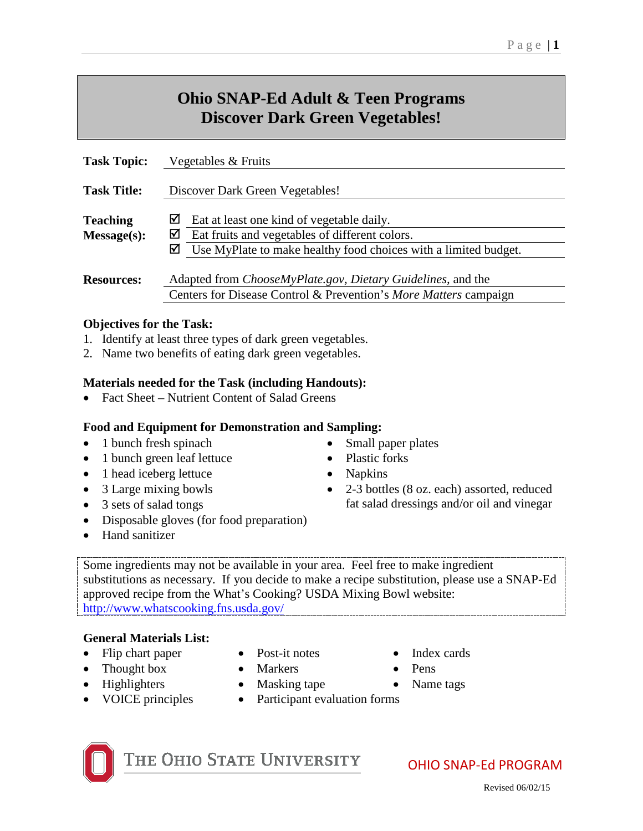# **Ohio SNAP-Ed Adult & Teen Programs Discover Dark Green Vegetables!**

| <b>Task Topic:</b>             | Vegetables & Fruits                                                                                                                                                           |
|--------------------------------|-------------------------------------------------------------------------------------------------------------------------------------------------------------------------------|
| <b>Task Title:</b>             | Discover Dark Green Vegetables!                                                                                                                                               |
| <b>Teaching</b><br>Message(s): | ⊻<br>Eat at least one kind of vegetable daily.<br>☑<br>Eat fruits and vegetables of different colors.<br>☑<br>Use MyPlate to make healthy food choices with a limited budget. |
| <b>Resources:</b>              | Adapted from ChooseMyPlate.gov, Dietary Guidelines, and the<br>Centers for Disease Control & Prevention's More Matters campaign                                               |

#### **Objectives for the Task:**

- 1. Identify at least three types of dark green vegetables.
- 2. Name two benefits of eating dark green vegetables.

#### **Materials needed for the Task (including Handouts):**

• Fact Sheet – Nutrient Content of Salad Greens

#### **Food and Equipment for Demonstration and Sampling:**

- 1 bunch fresh spinach Small paper plates
- 1 bunch green leaf lettuce Plastic forks
- 1 head iceberg lettuce Napkins
- 
- 
- Disposable gloves (for food preparation)
- Hand sanitizer
- 
- 
- 
- 3 Large mixing bowls 2-3 bottles (8 oz. each) assorted, reduced • 3 sets of salad tongs fat salad dressings and/or oil and vinegar
- Some ingredients may not be available in your area. Feel free to make ingredient substitutions as necessary. If you decide to make a recipe substitution, please use a SNAP-Ed approved recipe from the What's Cooking? USDA Mixing Bowl website: <http://www.whatscooking.fns.usda.gov/>

#### **General Materials List:**

- Flip chart paper Post-it notes Index cards
- Thought box Markers Pens
- 
- 
- 
- 
- Highlighters Masking tape Name tags
- VOICE principles Participant evaluation forms



THE OHIO STATE UNIVERSITY

- 
- 
- 

OHIO SNAP-Ed PROGRAM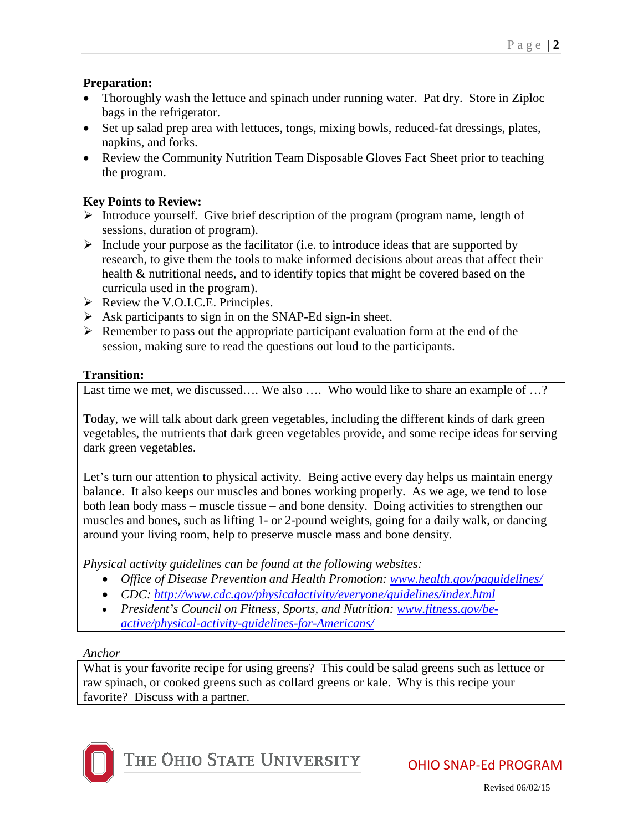### **Preparation:**

- Thoroughly wash the lettuce and spinach under running water. Pat dry. Store in Ziploc bags in the refrigerator.
- Set up salad prep area with lettuces, tongs, mixing bowls, reduced-fat dressings, plates, napkins, and forks.
- Review the Community Nutrition Team Disposable Gloves Fact Sheet prior to teaching the program.

### **Key Points to Review:**

- $\triangleright$  Introduce yourself. Give brief description of the program (program name, length of sessions, duration of program).
- $\triangleright$  Include your purpose as the facilitator (i.e. to introduce ideas that are supported by research, to give them the tools to make informed decisions about areas that affect their health & nutritional needs, and to identify topics that might be covered based on the curricula used in the program).
- $\triangleright$  Review the V.O.I.C.E. Principles.
- $\triangleright$  Ask participants to sign in on the SNAP-Ed sign-in sheet.
- $\triangleright$  Remember to pass out the appropriate participant evaluation form at the end of the session, making sure to read the questions out loud to the participants.

# **Transition:**

Last time we met, we discussed.... We also .... Who would like to share an example of ...?

Today, we will talk about dark green vegetables, including the different kinds of dark green vegetables, the nutrients that dark green vegetables provide, and some recipe ideas for serving dark green vegetables.

Let's turn our attention to physical activity. Being active every day helps us maintain energy balance. It also keeps our muscles and bones working properly. As we age, we tend to lose both lean body mass – muscle tissue – and bone density. Doing activities to strengthen our muscles and bones, such as lifting 1- or 2-pound weights, going for a daily walk, or dancing around your living room, help to preserve muscle mass and bone density.

*Physical activity guidelines can be found at the following websites:* 

- *Office of Disease Prevention and Health Promotion: [www.health.gov/paguidelines/](http://www.health.gov/paguidelines/)*
- *CDC:<http://www.cdc.gov/physicalactivity/everyone/guidelines/index.html>*
- *President's Council on Fitness, Sports, and Nutrition: [www.fitness.gov/be](http://www.fitness.gov/be-active/physical-activity-guidelines-for-Americans/)[active/physical-activity-guidelines-for-Americans/](http://www.fitness.gov/be-active/physical-activity-guidelines-for-Americans/)*

### *Anchor*

What is your favorite recipe for using greens? This could be salad greens such as lettuce or raw spinach, or cooked greens such as collard greens or kale. Why is this recipe your favorite? Discuss with a partner.

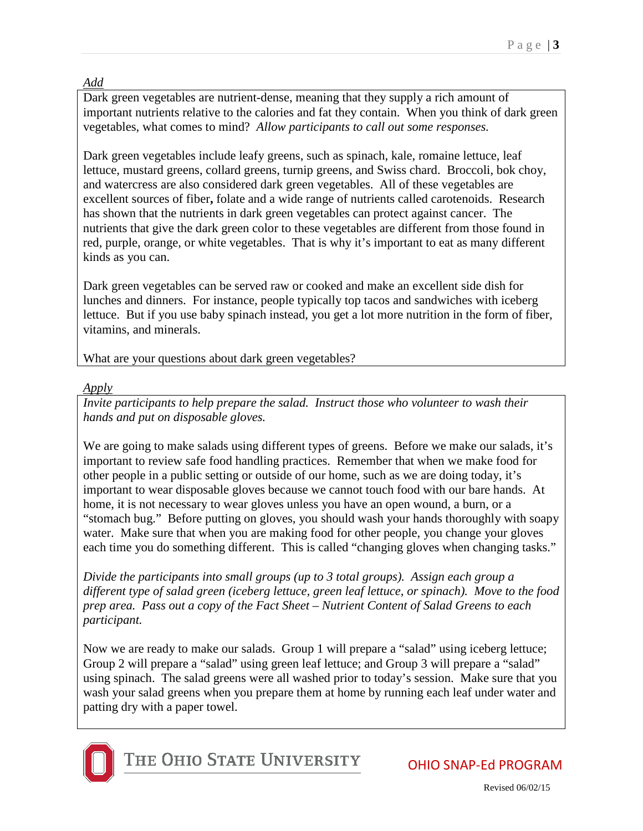# *Add*

Dark green vegetables are nutrient-dense, meaning that they supply a rich amount of important nutrients relative to the calories and fat they contain. When you think of dark green vegetables, what comes to mind? *Allow participants to call out some responses.*

Dark green vegetables include leafy greens, such as spinach, kale, romaine lettuce, leaf lettuce, mustard greens, collard greens, turnip greens, and Swiss chard. Broccoli, bok choy, and watercress are also considered dark green vegetables. All of these vegetables are excellent sources of fiber**,** folate and a wide range of nutrients called carotenoids. Research has shown that the nutrients in dark green vegetables can protect against cancer. The nutrients that give the dark green color to these vegetables are different from those found in red, purple, orange, or white vegetables. That is why it's important to eat as many different kinds as you can.

Dark green vegetables can be served raw or cooked and make an excellent side dish for lunches and dinners. For instance, people typically top tacos and sandwiches with iceberg lettuce. But if you use baby spinach instead, you get a lot more nutrition in the form of fiber, vitamins, and minerals.

What are your questions about dark green vegetables?

# *Apply*

*Invite participants to help prepare the salad. Instruct those who volunteer to wash their hands and put on disposable gloves.* 

We are going to make salads using different types of greens. Before we make our salads, it's important to review safe food handling practices. Remember that when we make food for other people in a public setting or outside of our home, such as we are doing today, it's important to wear disposable gloves because we cannot touch food with our bare hands. At home, it is not necessary to wear gloves unless you have an open wound, a burn, or a "stomach bug." Before putting on gloves, you should wash your hands thoroughly with soapy water. Make sure that when you are making food for other people, you change your gloves each time you do something different. This is called "changing gloves when changing tasks."

*Divide the participants into small groups (up to 3 total groups). Assign each group a different type of salad green (iceberg lettuce, green leaf lettuce, or spinach). Move to the food prep area. Pass out a copy of the Fact Sheet – Nutrient Content of Salad Greens to each participant.*

Now we are ready to make our salads. Group 1 will prepare a "salad" using iceberg lettuce; Group 2 will prepare a "salad" using green leaf lettuce; and Group 3 will prepare a "salad" using spinach. The salad greens were all washed prior to today's session. Make sure that you wash your salad greens when you prepare them at home by running each leaf under water and patting dry with a paper towel.



THE OHIO STATE UNIVERSITY

OHIO SNAP-Ed PROGRAM